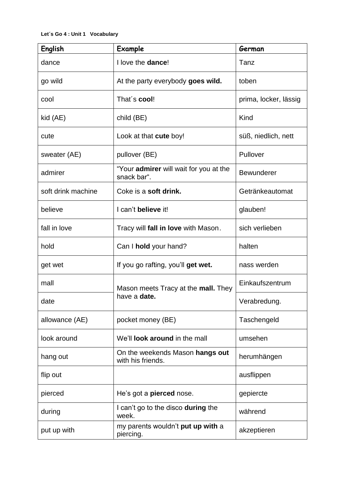| <b>English</b>     | Example                                                           | German                |
|--------------------|-------------------------------------------------------------------|-----------------------|
| dance              | I love the dance!                                                 | Tanz                  |
| go wild            | At the party everybody goes wild.                                 | toben                 |
| cool               | That's cool!                                                      | prima, locker, lässig |
| kid (AE)           | child (BE)                                                        | Kind                  |
| cute               | Look at that <b>cute</b> boy!                                     | süß, niedlich, nett   |
| sweater (AE)       | pullover (BE)                                                     | Pullover              |
| admirer            | "Your admirer will wait for you at the<br>snack bar".             | <b>Bewunderer</b>     |
| soft drink machine | Coke is a soft drink.                                             | Getränkeautomat       |
| believe            | I can't believe it!                                               | glauben!              |
| fall in love       | Tracy will fall in love with Mason.                               | sich verlieben        |
| hold               | Can I hold your hand?                                             | halten                |
| get wet            | If you go rafting, you'll get wet.                                | nass werden           |
| mall               | Mason meets Tracy at the <b>mall.</b> They<br>have a <b>date.</b> | Einkaufszentrum       |
| date               |                                                                   | Verabredung.          |
| allowance (AE)     | pocket money (BE)                                                 | Taschengeld           |
| look around        | We'll <b>look around</b> in the mall                              | umsehen               |
| hang out           | On the weekends Mason hangs out<br>with his friends.              | herumhängen           |
| flip out           |                                                                   | ausflippen            |
| pierced            | He's got a <b>pierced</b> nose.                                   | gepiercte             |
| during             | I can't go to the disco during the<br>week.                       | während               |
| put up with        | my parents wouldn't put up with a<br>piercing.                    | akzeptieren           |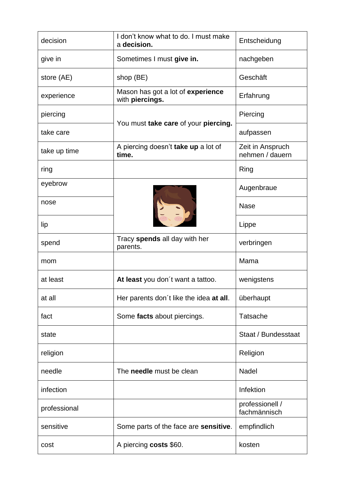| decision     | I don't know what to do. I must make<br>a decision.  | Entscheidung                        |
|--------------|------------------------------------------------------|-------------------------------------|
| give in      | Sometimes I must give in.                            | nachgeben                           |
| store (AE)   | shop (BE)                                            | Geschäft                            |
| experience   | Mason has got a lot of experience<br>with piercings. | Erfahrung                           |
| piercing     | You must take care of your piercing.                 | Piercing                            |
| take care    |                                                      | aufpassen                           |
| take up time | A piercing doesn't take up a lot of<br>time.         | Zeit in Anspruch<br>nehmen / dauern |
| ring         |                                                      | Ring                                |
| eyebrow      |                                                      | Augenbraue                          |
| nose         |                                                      | <b>Nase</b>                         |
| lip          |                                                      | Lippe                               |
| spend        | Tracy spends all day with her<br>parents.            | verbringen                          |
| mom          |                                                      | Mama                                |
| at least     | At least you don't want a tattoo.                    | wenigstens                          |
| at all       | Her parents don't like the idea at all.              | überhaupt                           |
| fact         | Some facts about piercings.                          | <b>Tatsache</b>                     |
| state        |                                                      | Staat / Bundesstaat                 |
| religion     |                                                      | Religion                            |
| needle       | The needle must be clean                             | <b>Nadel</b>                        |
| infection    |                                                      | Infektion                           |
| professional |                                                      | professionell /<br>fachmännisch     |
| sensitive    | Some parts of the face are <b>sensitive</b> .        | empfindlich                         |
| cost         | A piercing costs \$60.                               | kosten                              |